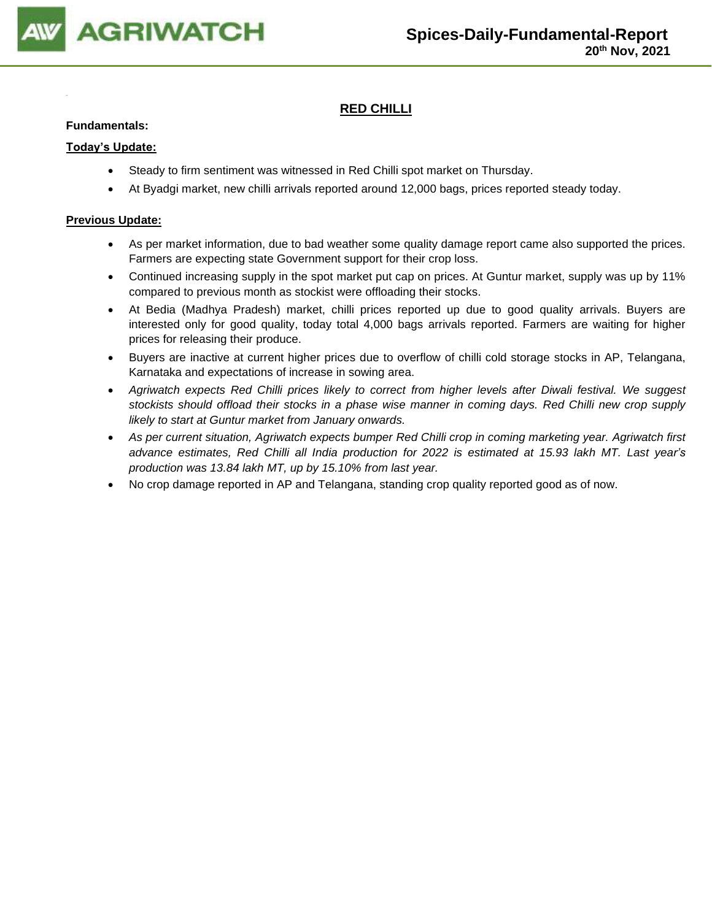

## **RED CHILLI**

### **Fundamentals:**

## **Today's Update:**

- Steady to firm sentiment was witnessed in Red Chilli spot market on Thursday.
- At Byadgi market, new chilli arrivals reported around 12,000 bags, prices reported steady today.

- As per market information, due to bad weather some quality damage report came also supported the prices. Farmers are expecting state Government support for their crop loss.
- Continued increasing supply in the spot market put cap on prices. At Guntur market, supply was up by 11% compared to previous month as stockist were offloading their stocks.
- At Bedia (Madhya Pradesh) market, chilli prices reported up due to good quality arrivals. Buyers are interested only for good quality, today total 4,000 bags arrivals reported. Farmers are waiting for higher prices for releasing their produce.
- Buyers are inactive at current higher prices due to overflow of chilli cold storage stocks in AP, Telangana, Karnataka and expectations of increase in sowing area.
- *Agriwatch expects Red Chilli prices likely to correct from higher levels after Diwali festival. We suggest stockists should offload their stocks in a phase wise manner in coming days. Red Chilli new crop supply likely to start at Guntur market from January onwards.*
- *As per current situation, Agriwatch expects bumper Red Chilli crop in coming marketing year. Agriwatch first advance estimates, Red Chilli all India production for 2022 is estimated at 15.93 lakh MT. Last year's production was 13.84 lakh MT, up by 15.10% from last year.*
- No crop damage reported in AP and Telangana, standing crop quality reported good as of now.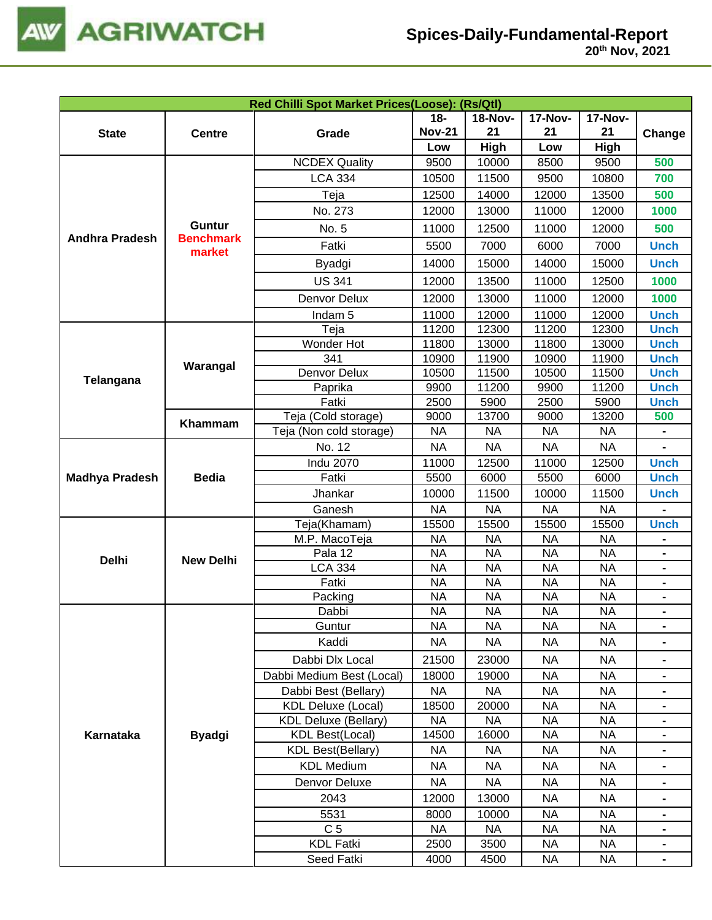

| Red Chilli Spot Market Prices(Loose): (Rs/Qtl) |                            |                             |               |                |                |                |                              |  |
|------------------------------------------------|----------------------------|-----------------------------|---------------|----------------|----------------|----------------|------------------------------|--|
|                                                |                            |                             | 18-           | <b>18-Nov-</b> | <b>17-Nov-</b> | <b>17-Nov-</b> |                              |  |
| <b>State</b>                                   | <b>Centre</b>              | Grade                       | <b>Nov-21</b> | 21             | 21             | 21             | Change                       |  |
|                                                |                            |                             | Low           | High           | Low            | High           |                              |  |
|                                                |                            | <b>NCDEX Quality</b>        | 9500          | 10000          | 8500           | 9500           | 500                          |  |
|                                                |                            | <b>LCA 334</b>              | 10500         | 11500          | 9500           | 10800          | 700                          |  |
|                                                |                            | Teja                        | 12500         | 14000          | 12000          | 13500          | 500                          |  |
|                                                |                            | No. 273                     | 12000         | 13000          | 11000          | 12000          | 1000                         |  |
|                                                | <b>Guntur</b>              | No. 5                       | 11000         | 12500          | 11000          | 12000          | 500                          |  |
| <b>Andhra Pradesh</b>                          | <b>Benchmark</b><br>market | Fatki                       | 5500          | 7000           | 6000           | 7000           | <b>Unch</b>                  |  |
|                                                |                            | Byadgi                      | 14000         | 15000          | 14000          | 15000          | <b>Unch</b>                  |  |
|                                                |                            | <b>US 341</b>               | 12000         | 13500          | 11000          | 12500          | 1000                         |  |
|                                                |                            | Denvor Delux                | 12000         | 13000          | 11000          | 12000          | 1000                         |  |
|                                                |                            | Indam <sub>5</sub>          | 11000         | 12000          | 11000          | 12000          | <b>Unch</b>                  |  |
|                                                |                            | Teja                        | 11200         | 12300          | 11200          | 12300          | <b>Unch</b>                  |  |
|                                                |                            | Wonder Hot                  | 11800         | 13000          | 11800          | 13000          | <b>Unch</b>                  |  |
|                                                | Warangal                   | 341                         | 10900         | 11900          | 10900          | 11900          | <b>Unch</b>                  |  |
| Telangana                                      |                            | Denvor Delux                | 10500         | 11500          | 10500          | 11500          | <b>Unch</b>                  |  |
|                                                |                            | Paprika                     | 9900          | 11200          | 9900           | 11200          | <b>Unch</b>                  |  |
|                                                |                            | Fatki                       | 2500          | 5900           | 2500           | 5900           | <b>Unch</b>                  |  |
|                                                | Khammam                    | Teja (Cold storage)         | 9000          | 13700          | 9000           | 13200          | 500                          |  |
|                                                |                            | Teja (Non cold storage)     | <b>NA</b>     | <b>NA</b>      | <b>NA</b>      | <b>NA</b>      | $\blacksquare$               |  |
|                                                |                            | No. 12                      | <b>NA</b>     | <b>NA</b>      | <b>NA</b>      | <b>NA</b>      |                              |  |
|                                                |                            | <b>Indu 2070</b>            | 11000         | 12500          | 11000          | 12500          | <b>Unch</b>                  |  |
| <b>Madhya Pradesh</b>                          | <b>Bedia</b>               | Fatki                       | 5500          | 6000           | 5500           | 6000           | <b>Unch</b>                  |  |
|                                                |                            | Jhankar                     | 10000         | 11500          | 10000          | 11500          | <b>Unch</b>                  |  |
|                                                |                            | Ganesh                      | <b>NA</b>     | <b>NA</b>      | <b>NA</b>      | <b>NA</b>      |                              |  |
|                                                |                            | Teja(Khamam)                | 15500         | 15500          | 15500          | 15500          | <b>Unch</b>                  |  |
|                                                |                            | M.P. MacoTeja               | <b>NA</b>     | <b>NA</b>      | <b>NA</b>      | <b>NA</b>      |                              |  |
| <b>Delhi</b>                                   | <b>New Delhi</b>           | Pala 12                     | <b>NA</b>     | <b>NA</b>      | <b>NA</b>      | <b>NA</b>      |                              |  |
|                                                |                            | <b>LCA 334</b>              | <b>NA</b>     | <b>NA</b>      | <b>NA</b>      | <b>NA</b>      | $\qquad \qquad \blacksquare$ |  |
|                                                |                            | Fatki                       | <b>NA</b>     | <b>NA</b>      | <b>NA</b>      | <b>NA</b>      |                              |  |
|                                                |                            | Packing                     | <b>NA</b>     | <b>NA</b>      | <b>NA</b>      | <b>NA</b>      | $\blacksquare$               |  |
|                                                |                            | Dabbi                       | <b>NA</b>     | <b>NA</b>      | <b>NA</b>      | <b>NA</b>      |                              |  |
|                                                |                            | Guntur                      | <b>NA</b>     | <b>NA</b>      | <b>NA</b>      | <b>NA</b>      | $\blacksquare$               |  |
|                                                |                            | Kaddi                       | <b>NA</b>     | NA             | ΝA             | <b>NA</b>      |                              |  |
|                                                |                            | Dabbi Dlx Local             | 21500         | 23000          | <b>NA</b>      | NA.            | $\blacksquare$               |  |
|                                                |                            | Dabbi Medium Best (Local)   | 18000         | 19000          | <b>NA</b>      | <b>NA</b>      |                              |  |
|                                                |                            | Dabbi Best (Bellary)        | <b>NA</b>     | NA             | <b>NA</b>      | <b>NA</b>      |                              |  |
|                                                |                            | <b>KDL Deluxe (Local)</b>   | 18500         | 20000          | <b>NA</b>      | NA             |                              |  |
|                                                |                            | <b>KDL Deluxe (Bellary)</b> | <b>NA</b>     | <b>NA</b>      | <b>NA</b>      | <b>NA</b>      |                              |  |
| Karnataka                                      | <b>Byadgi</b>              | <b>KDL Best(Local)</b>      | 14500         | 16000          | <b>NA</b>      | <b>NA</b>      |                              |  |
|                                                |                            | <b>KDL Best(Bellary)</b>    | NA.           | NA             | NA             | <b>NA</b>      |                              |  |
|                                                |                            | <b>KDL Medium</b>           | <b>NA</b>     | <b>NA</b>      | <b>NA</b>      | <b>NA</b>      |                              |  |
|                                                |                            | Denvor Deluxe               | NA.           | <b>NA</b>      | <b>NA</b>      | <b>NA</b>      | $\blacksquare$               |  |
|                                                |                            | 2043                        | 12000         | 13000          | <b>NA</b>      | <b>NA</b>      | Ξ.                           |  |
|                                                |                            | 5531                        | 8000          | 10000          | <b>NA</b>      | <b>NA</b>      | $\blacksquare$               |  |
|                                                |                            | C <sub>5</sub>              | <b>NA</b>     | NA             | <b>NA</b>      | NA             |                              |  |
|                                                |                            | <b>KDL Fatki</b>            | 2500          | 3500           | <b>NA</b>      | <b>NA</b>      |                              |  |
|                                                |                            | Seed Fatki                  | 4000          | 4500           | <b>NA</b>      | <b>NA</b>      |                              |  |
|                                                |                            |                             |               |                |                |                |                              |  |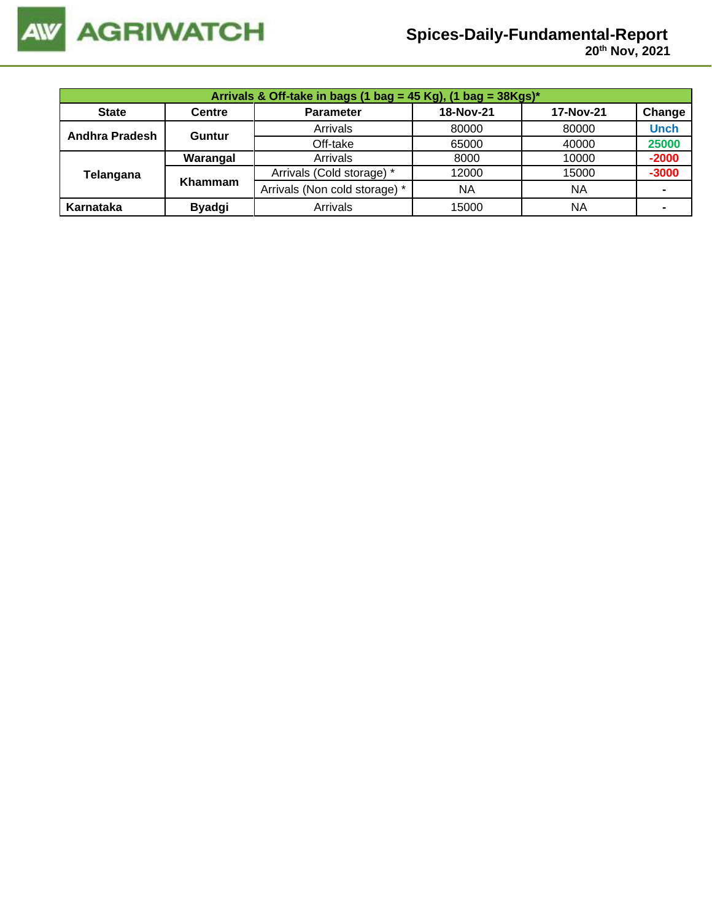

# **Spices-Daily-Fundamental-Report**

 **20th Nov, 2021**

|                | Arrivals & Off-take in bags (1 bag = 45 Kg), (1 bag = $38Kgs$ )* |                               |           |           |                |  |  |  |  |
|----------------|------------------------------------------------------------------|-------------------------------|-----------|-----------|----------------|--|--|--|--|
| <b>State</b>   | <b>Centre</b>                                                    | <b>Parameter</b>              | 18-Nov-21 | 17-Nov-21 | Change         |  |  |  |  |
| Andhra Pradesh | <b>Guntur</b>                                                    | Arrivals                      | 80000     | 80000     | <b>Unch</b>    |  |  |  |  |
|                |                                                                  | Off-take                      | 65000     | 40000     | 25000          |  |  |  |  |
|                | Warangal                                                         | Arrivals                      | 8000      | 10000     | $-2000$        |  |  |  |  |
| Telangana      | Khammam                                                          | Arrivals (Cold storage) *     | 12000     | 15000     | $-3000$        |  |  |  |  |
|                |                                                                  | Arrivals (Non cold storage) * | <b>NA</b> | <b>NA</b> | $\blacksquare$ |  |  |  |  |
| Karnataka      | <b>Byadgi</b>                                                    | Arrivals                      | 15000     | <b>NA</b> | $\blacksquare$ |  |  |  |  |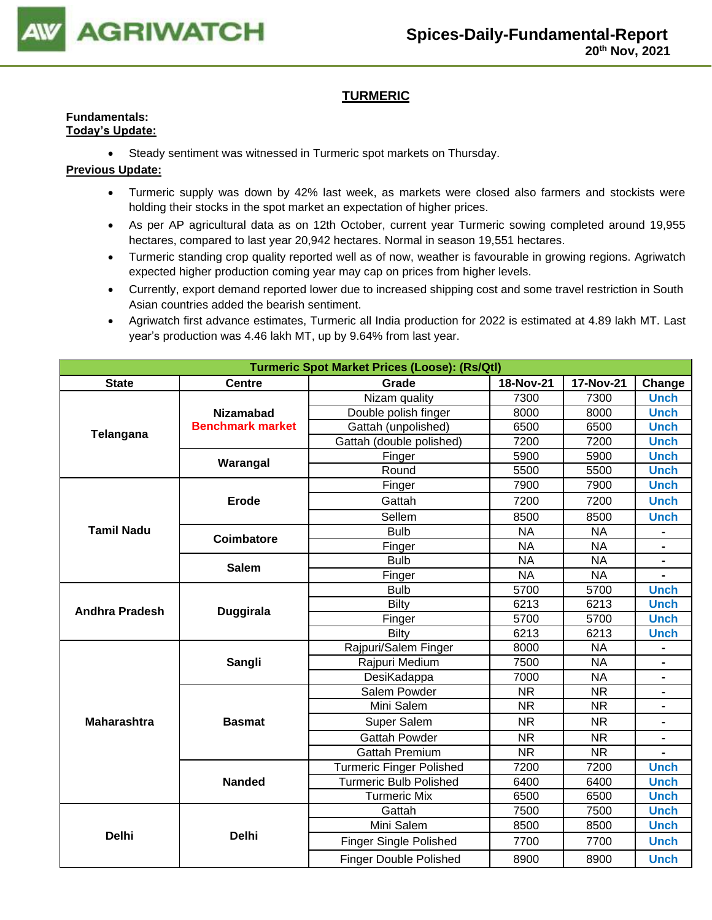

## **TURMERIC**

#### **Fundamentals: Today's Update:**

• Steady sentiment was witnessed in Turmeric spot markets on Thursday.

- Turmeric supply was down by 42% last week, as markets were closed also farmers and stockists were holding their stocks in the spot market an expectation of higher prices.
- As per AP agricultural data as on 12th October, current year Turmeric sowing completed around 19,955 hectares, compared to last year 20,942 hectares. Normal in season 19,551 hectares.
- Turmeric standing crop quality reported well as of now, weather is favourable in growing regions. Agriwatch expected higher production coming year may cap on prices from higher levels.
- Currently, export demand reported lower due to increased shipping cost and some travel restriction in South Asian countries added the bearish sentiment.
- Agriwatch first advance estimates, Turmeric all India production for 2022 is estimated at 4.89 lakh MT. Last year's production was 4.46 lakh MT, up by 9.64% from last year.

| <b>Turmeric Spot Market Prices (Loose): (Rs/Qtl)</b> |                         |                                 |           |           |                |  |  |
|------------------------------------------------------|-------------------------|---------------------------------|-----------|-----------|----------------|--|--|
| <b>State</b>                                         | <b>Centre</b>           | Grade                           | 18-Nov-21 | 17-Nov-21 | Change         |  |  |
|                                                      |                         | Nizam quality                   | 7300      | 7300      | <b>Unch</b>    |  |  |
| Telangana                                            | <b>Nizamabad</b>        | Double polish finger            | 8000      | 8000      | <b>Unch</b>    |  |  |
|                                                      | <b>Benchmark market</b> | Gattah (unpolished)             | 6500      | 6500      | <b>Unch</b>    |  |  |
|                                                      |                         | Gattah (double polished)        | 7200      | 7200      | <b>Unch</b>    |  |  |
|                                                      | Warangal                | Finger                          | 5900      | 5900      | <b>Unch</b>    |  |  |
|                                                      |                         | Round                           | 5500      | 5500      | <b>Unch</b>    |  |  |
|                                                      |                         | Finger                          | 7900      | 7900      | <b>Unch</b>    |  |  |
|                                                      | <b>Erode</b>            | Gattah                          | 7200      | 7200      | <b>Unch</b>    |  |  |
|                                                      |                         | Sellem                          | 8500      | 8500      | <b>Unch</b>    |  |  |
| <b>Tamil Nadu</b>                                    | Coimbatore              | <b>Bulb</b>                     | <b>NA</b> | <b>NA</b> | $\blacksquare$ |  |  |
|                                                      |                         | Finger                          | <b>NA</b> | <b>NA</b> | $\blacksquare$ |  |  |
|                                                      | <b>Salem</b>            | <b>Bulb</b>                     | <b>NA</b> | <b>NA</b> |                |  |  |
|                                                      |                         | Finger                          | <b>NA</b> | <b>NA</b> |                |  |  |
| <b>Andhra Pradesh</b>                                |                         | <b>Bulb</b>                     | 5700      | 5700      | <b>Unch</b>    |  |  |
|                                                      | <b>Duggirala</b>        | <b>Bilty</b>                    | 6213      | 6213      | <b>Unch</b>    |  |  |
|                                                      |                         | Finger                          | 5700      | 5700      | <b>Unch</b>    |  |  |
|                                                      |                         | Bilty                           | 6213      | 6213      | <b>Unch</b>    |  |  |
|                                                      |                         | Rajpuri/Salem Finger            | 8000      | <b>NA</b> | Ξ.             |  |  |
|                                                      | Sangli                  | Rajpuri Medium                  | 7500      | <b>NA</b> | $\blacksquare$ |  |  |
|                                                      |                         | DesiKadappa                     | 7000      | <b>NA</b> | ٠              |  |  |
|                                                      |                         | Salem Powder                    | <b>NR</b> | <b>NR</b> |                |  |  |
|                                                      |                         | Mini Salem                      | <b>NR</b> | <b>NR</b> |                |  |  |
| <b>Maharashtra</b>                                   | <b>Basmat</b>           | Super Salem                     | <b>NR</b> | <b>NR</b> |                |  |  |
|                                                      |                         | <b>Gattah Powder</b>            | <b>NR</b> | <b>NR</b> | $\blacksquare$ |  |  |
|                                                      |                         | <b>Gattah Premium</b>           | <b>NR</b> | <b>NR</b> |                |  |  |
|                                                      |                         | <b>Turmeric Finger Polished</b> | 7200      | 7200      | <b>Unch</b>    |  |  |
|                                                      | <b>Nanded</b>           | <b>Turmeric Bulb Polished</b>   | 6400      | 6400      | <b>Unch</b>    |  |  |
|                                                      |                         | <b>Turmeric Mix</b>             | 6500      | 6500      | <b>Unch</b>    |  |  |
|                                                      |                         | Gattah                          | 7500      | 7500      | <b>Unch</b>    |  |  |
|                                                      |                         | Mini Salem                      | 8500      | 8500      | <b>Unch</b>    |  |  |
| <b>Delhi</b>                                         | <b>Delhi</b>            | <b>Finger Single Polished</b>   | 7700      | 7700      | <b>Unch</b>    |  |  |
|                                                      |                         | <b>Finger Double Polished</b>   | 8900      | 8900      | <b>Unch</b>    |  |  |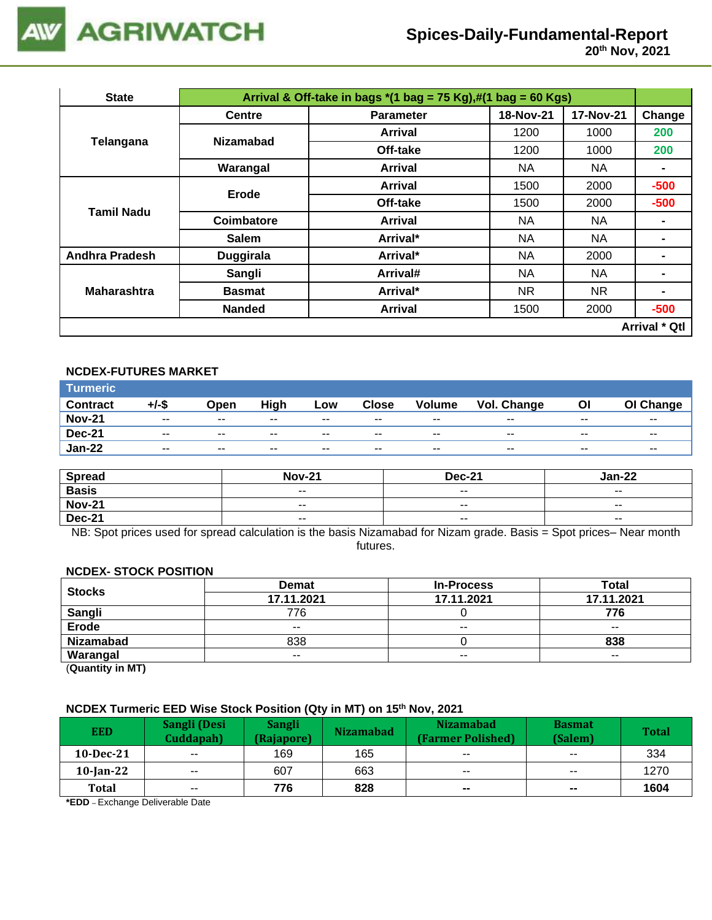

# **Spices-Daily-Fundamental-Report**

| <b>State</b>                                                                                                                                                                                                                                                                                                                                                                                                                                                                                                                       | Arrival & Off-take in bags $*(1 \text{ bag} = 75 \text{ Kg}),\#(1 \text{ bag} = 60 \text{ Kg})$ |                  |           |           |                      |  |  |
|------------------------------------------------------------------------------------------------------------------------------------------------------------------------------------------------------------------------------------------------------------------------------------------------------------------------------------------------------------------------------------------------------------------------------------------------------------------------------------------------------------------------------------|-------------------------------------------------------------------------------------------------|------------------|-----------|-----------|----------------------|--|--|
|                                                                                                                                                                                                                                                                                                                                                                                                                                                                                                                                    | <b>Centre</b>                                                                                   | <b>Parameter</b> | 18-Nov-21 | 17-Nov-21 | Change               |  |  |
| 1200<br>1000<br>Arrival<br><b>Nizamabad</b><br>Telangana<br>Off-take<br>1200<br>1000<br>Warangal<br>Arrival<br>NA.<br>NA.<br>1500<br>2000<br>Arrival<br>Erode<br>Off-take<br>1500<br>2000<br><b>Tamil Nadu</b><br>Coimbatore<br>NA<br><b>Arrival</b><br>NA.<br>NA<br>NA<br><b>Salem</b><br>Arrival*<br><b>Andhra Pradesh</b><br><b>Duggirala</b><br>Arrival*<br>NA.<br>2000<br>NA<br>Sangli<br>Arrival#<br>NA.<br><b>Maharashtra</b><br>NR.<br>NR.<br>Arrival*<br><b>Basmat</b><br><b>Nanded</b><br><b>Arrival</b><br>1500<br>2000 |                                                                                                 | 200              |           |           |                      |  |  |
|                                                                                                                                                                                                                                                                                                                                                                                                                                                                                                                                    |                                                                                                 |                  |           |           | 200                  |  |  |
|                                                                                                                                                                                                                                                                                                                                                                                                                                                                                                                                    |                                                                                                 |                  |           |           | $\blacksquare$       |  |  |
|                                                                                                                                                                                                                                                                                                                                                                                                                                                                                                                                    |                                                                                                 |                  |           | $-500$    |                      |  |  |
|                                                                                                                                                                                                                                                                                                                                                                                                                                                                                                                                    |                                                                                                 |                  |           |           | $-500$               |  |  |
|                                                                                                                                                                                                                                                                                                                                                                                                                                                                                                                                    |                                                                                                 |                  |           |           |                      |  |  |
|                                                                                                                                                                                                                                                                                                                                                                                                                                                                                                                                    |                                                                                                 |                  |           |           |                      |  |  |
|                                                                                                                                                                                                                                                                                                                                                                                                                                                                                                                                    |                                                                                                 |                  |           |           |                      |  |  |
|                                                                                                                                                                                                                                                                                                                                                                                                                                                                                                                                    |                                                                                                 |                  |           |           |                      |  |  |
|                                                                                                                                                                                                                                                                                                                                                                                                                                                                                                                                    |                                                                                                 |                  |           |           | $\blacksquare$       |  |  |
|                                                                                                                                                                                                                                                                                                                                                                                                                                                                                                                                    |                                                                                                 |                  |           |           | -500                 |  |  |
|                                                                                                                                                                                                                                                                                                                                                                                                                                                                                                                                    |                                                                                                 |                  |           |           | <b>Arrival * Qtl</b> |  |  |

## **NCDEX-FUTURES MARKET**

| <b>Turmeric</b> |               |       |       |        |              |               |             |       |           |
|-----------------|---------------|-------|-------|--------|--------------|---------------|-------------|-------|-----------|
| <b>Contract</b> | +/-\$         | Open  | High  | Low    | <b>Close</b> | <b>Volume</b> | Vol. Change | ΟI    | OI Change |
| <b>Nov-21</b>   | $\sim$ $\sim$ | $- -$ | $- -$ | $\sim$ | $- -$        | $\sim$ $\sim$ | $- -$       | $- -$ | $- -$     |
| <b>Dec-21</b>   | $- -$         | $- -$ | $- -$ | $- -$  | $- -$        | $- -$         | $- -$       | --    | $- -$     |
| <b>Jan-22</b>   | $\sim$ $\sim$ | $- -$ | $- -$ | $- -$  | $- -$        | $- -$         | $- -$       | $- -$ | $- -$     |

| <b>Spread</b> | <b>Nov-21</b> | <b>Dec-21</b> | Jan-22                   |
|---------------|---------------|---------------|--------------------------|
| <b>Basis</b>  | $- -$         | $- -$         | $- -$                    |
| <b>Nov-21</b> | $\sim$ $\sim$ | $- -$         | $\overline{\phantom{a}}$ |
| <b>Dec-21</b> | $\sim$ $\sim$ | $\sim$ $\sim$ | $- -$                    |

NB: Spot prices used for spread calculation is the basis Nizamabad for Nizam grade. Basis = Spot prices– Near month futures.

#### **NCDEX- STOCK POSITION**

| <b>Stocks</b>    | <b>Demat</b> | <b>In-Process</b> | Total      |
|------------------|--------------|-------------------|------------|
|                  | 17.11.2021   | 17.11.2021        | 17.11.2021 |
| <b>Sangli</b>    | 776          |                   | 776        |
| <b>Erode</b>     | $- -$        | $- -$             | $- -$      |
| <b>Nizamabad</b> | 838          |                   | 838        |
| Warangal         | $- -$        | $- -$             | $- -$      |

(**Quantity in MT)**

## **NCDEX Turmeric EED Wise Stock Position (Qty in MT) on 15th Nov, 2021**

| <b>EED</b>   | Sangli (Desi<br>Cuddapah) | Sangli<br>(Rajapore) | <b>Nizamabad</b> | <b>Nizamabad</b><br>(Farmer Polished) | <b>Basmat</b><br>(Salem) | <b>Total</b> |
|--------------|---------------------------|----------------------|------------------|---------------------------------------|--------------------------|--------------|
| $10$ -Dec-21 | $\overline{\phantom{a}}$  | 169                  | 165              | $\overline{\phantom{m}}$              | $\overline{\phantom{a}}$ | 334          |
| $10$ -Jan-22 | $\sim$ $\sim$             | 607                  | 663              | $\sim$ $\sim$                         | $\sim$ $\sim$            | 1270         |
| <b>Total</b> | $\sim$ $\sim$             | 776                  | 828              | $\sim$                                | $\mathbf{m}$             | 1604         |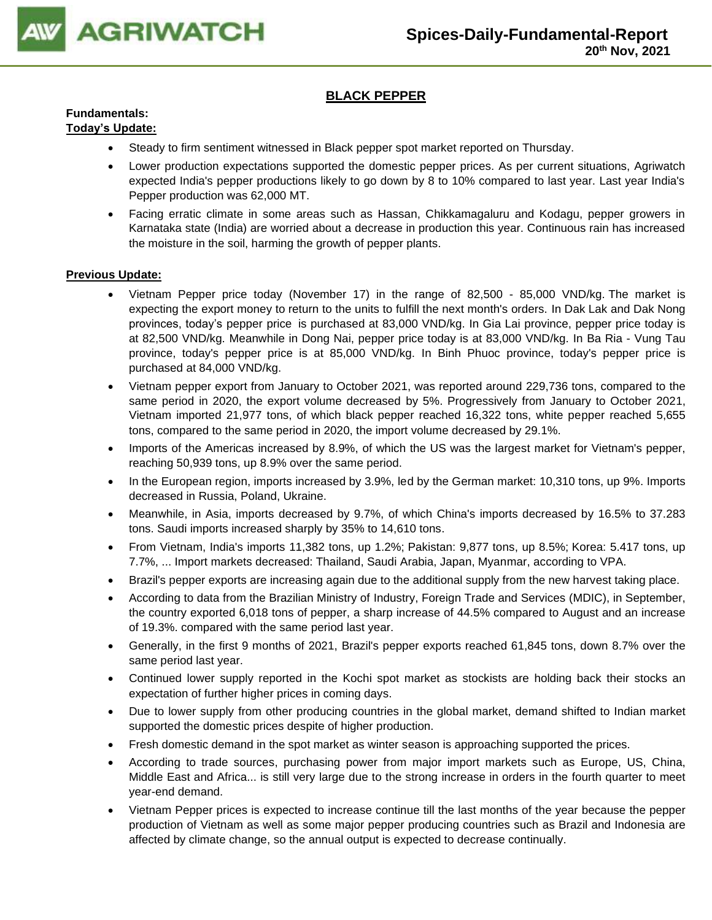

## **BLACK PEPPER**

## **Fundamentals:**

## **Today's Update:**

- Steady to firm sentiment witnessed in Black pepper spot market reported on Thursday.
- Lower production expectations supported the domestic pepper prices. As per current situations, Agriwatch expected India's pepper productions likely to go down by 8 to 10% compared to last year. Last year India's Pepper production was 62,000 MT.
- Facing erratic climate in some areas such as Hassan, Chikkamagaluru and Kodagu, pepper growers in Karnataka state (India) are worried about a decrease in production this year. Continuous rain has increased the moisture in the soil, harming the growth of pepper plants.

- Vietnam Pepper price today (November 17) in the range of 82,500 85,000 VND/kg. The market is expecting the export money to return to the units to fulfill the next month's orders. In Dak Lak and Dak Nong provinces, today's pepper price is purchased at 83,000 VND/kg. In Gia Lai province, pepper price today is at 82,500 VND/kg. Meanwhile in Dong Nai, pepper price today is at 83,000 VND/kg. In Ba Ria - Vung Tau province, today's pepper price is at 85,000 VND/kg. In Binh Phuoc province, today's pepper price is purchased at 84,000 VND/kg.
- Vietnam pepper export from January to October 2021, was reported around 229,736 tons, compared to the same period in 2020, the export volume decreased by 5%. Progressively from January to October 2021, Vietnam imported 21,977 tons, of which black pepper reached 16,322 tons, white pepper reached 5,655 tons, compared to the same period in 2020, the import volume decreased by 29.1%.
- Imports of the Americas increased by 8.9%, of which the US was the largest market for Vietnam's pepper, reaching 50,939 tons, up 8.9% over the same period.
- In the European region, imports increased by 3.9%, led by the German market: 10,310 tons, up 9%. Imports decreased in Russia, Poland, Ukraine.
- Meanwhile, in Asia, imports decreased by 9.7%, of which China's imports decreased by 16.5% to 37.283 tons. Saudi imports increased sharply by 35% to 14,610 tons.
- From Vietnam, India's imports 11,382 tons, up 1.2%; Pakistan: 9,877 tons, up 8.5%; Korea: 5.417 tons, up 7.7%, ... Import markets decreased: Thailand, Saudi Arabia, Japan, Myanmar, according to VPA.
- Brazil's pepper exports are increasing again due to the additional supply from the new harvest taking place.
- According to data from the Brazilian Ministry of Industry, Foreign Trade and Services (MDIC), in September, the country exported 6,018 tons of pepper, a sharp increase of 44.5% compared to August and an increase of 19.3%. compared with the same period last year.
- Generally, in the first 9 months of 2021, Brazil's pepper exports reached 61,845 tons, down 8.7% over the same period last year.
- Continued lower supply reported in the Kochi spot market as stockists are holding back their stocks an expectation of further higher prices in coming days.
- Due to lower supply from other producing countries in the global market, demand shifted to Indian market supported the domestic prices despite of higher production.
- Fresh domestic demand in the spot market as winter season is approaching supported the prices.
- According to trade sources, purchasing power from major import markets such as Europe, US, China, Middle East and Africa... is still very large due to the strong increase in orders in the fourth quarter to meet year-end demand.
- Vietnam Pepper prices is expected to increase continue till the last months of the year because the pepper production of Vietnam as well as some major pepper producing countries such as Brazil and Indonesia are affected by climate change, so the annual output is expected to decrease continually.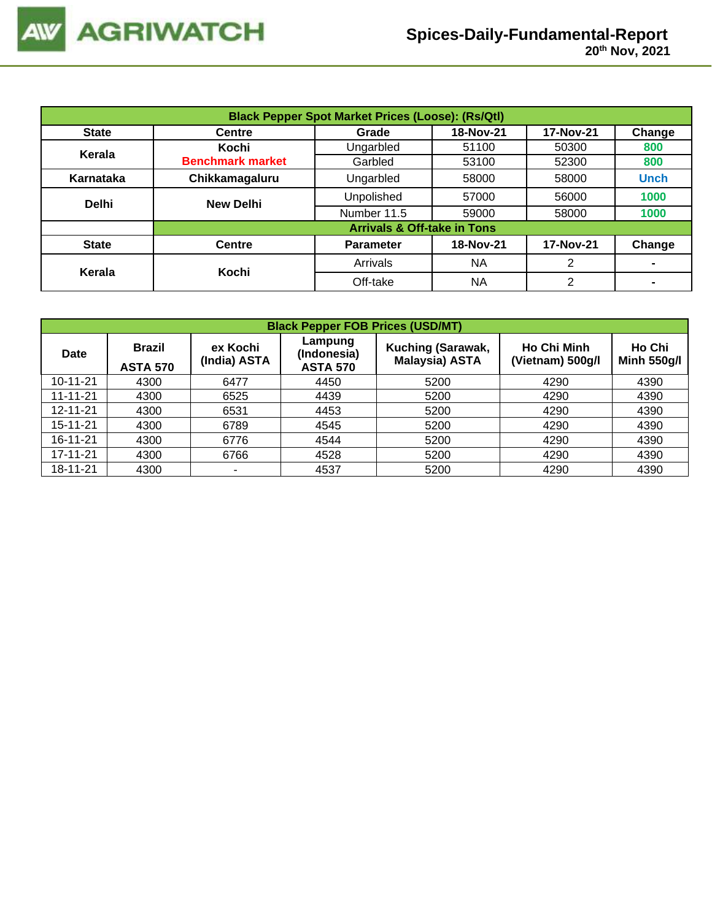| <b>Black Pepper Spot Market Prices (Loose): (Rs/Qtl)</b> |                         |                                        |           |                |                |  |  |  |
|----------------------------------------------------------|-------------------------|----------------------------------------|-----------|----------------|----------------|--|--|--|
| <b>State</b>                                             | <b>Centre</b>           | Grade                                  | 18-Nov-21 | 17-Nov-21      | Change         |  |  |  |
| Kerala                                                   | Kochi                   | Ungarbled                              | 51100     | 50300          | 800            |  |  |  |
|                                                          | <b>Benchmark market</b> | Garbled                                | 53100     | 52300          | 800            |  |  |  |
| Karnataka                                                | Chikkamagaluru          | Ungarbled                              | 58000     | 58000          | <b>Unch</b>    |  |  |  |
| <b>Delhi</b>                                             | <b>New Delhi</b>        | Unpolished                             | 57000     | 56000          | 1000           |  |  |  |
|                                                          |                         | Number 11.5                            | 59000     | 58000          | 1000           |  |  |  |
|                                                          |                         | <b>Arrivals &amp; Off-take in Tons</b> |           |                |                |  |  |  |
| <b>State</b>                                             | <b>Centre</b>           | <b>Parameter</b>                       | 18-Nov-21 | 17-Nov-21      | Change         |  |  |  |
|                                                          | Kochi                   | Arrivals                               | <b>NA</b> | 2              | $\blacksquare$ |  |  |  |
| Kerala                                                   |                         | Off-take                               | <b>NA</b> | $\overline{2}$ | ۰              |  |  |  |

|                | <b>Black Pepper FOB Prices (USD/MT)</b>                      |      |                                                                                         |      |                                        |                              |  |  |  |  |  |
|----------------|--------------------------------------------------------------|------|-----------------------------------------------------------------------------------------|------|----------------------------------------|------------------------------|--|--|--|--|--|
| <b>Date</b>    | <b>Brazil</b><br>ex Kochi<br>(India) ASTA<br><b>ASTA 570</b> |      | Lampung<br>Kuching (Sarawak,<br>(Indonesia)<br><b>Malaysia) ASTA</b><br><b>ASTA 570</b> |      | <b>Ho Chi Minh</b><br>(Vietnam) 500g/l | Ho Chi<br><b>Minh 550g/l</b> |  |  |  |  |  |
| $10 - 11 - 21$ | 4300                                                         | 6477 | 4450                                                                                    | 5200 | 4290                                   | 4390                         |  |  |  |  |  |
| $11 - 11 - 21$ | 4300                                                         | 6525 | 4439                                                                                    | 5200 | 4290                                   | 4390                         |  |  |  |  |  |
| 12-11-21       | 4300                                                         | 6531 | 4453                                                                                    | 5200 | 4290                                   | 4390                         |  |  |  |  |  |
| 15-11-21       | 4300                                                         | 6789 | 4545                                                                                    | 5200 | 4290                                   | 4390                         |  |  |  |  |  |
| 16-11-21       | 4300                                                         | 6776 | 4544                                                                                    | 5200 | 4290                                   | 4390                         |  |  |  |  |  |
| 17-11-21       | 4300                                                         | 6766 | 4528                                                                                    | 5200 | 4290                                   | 4390                         |  |  |  |  |  |
| 18-11-21       | 4300                                                         | ۰    | 4537                                                                                    | 5200 | 4290                                   | 4390                         |  |  |  |  |  |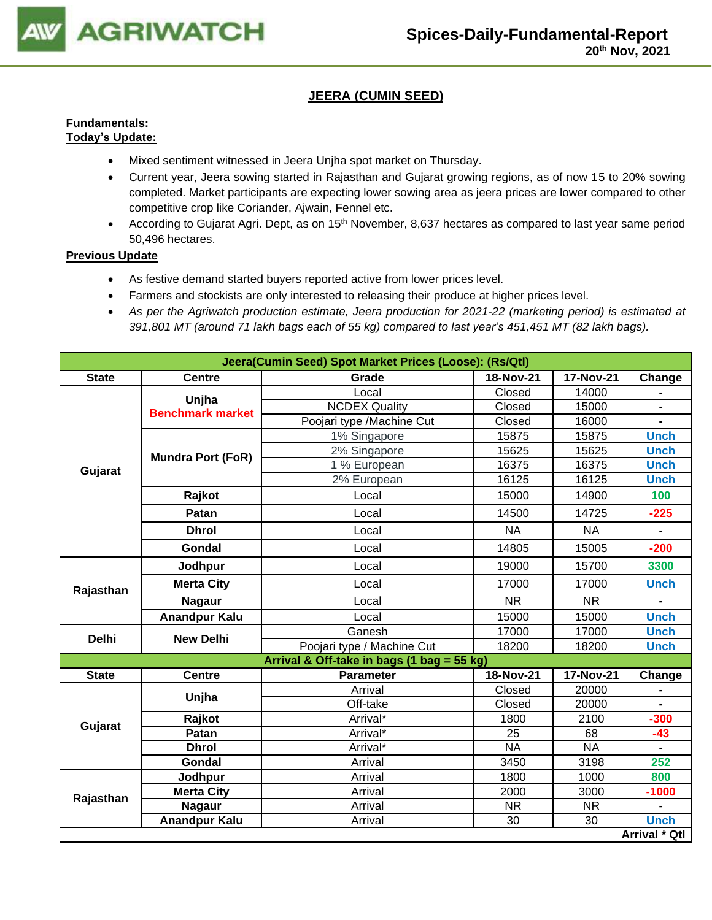

## **JEERA (CUMIN SEED)**

## **Fundamentals: Today's Update:**

- Mixed sentiment witnessed in Jeera Unjha spot market on Thursday.
- Current year, Jeera sowing started in Rajasthan and Gujarat growing regions, as of now 15 to 20% sowing completed. Market participants are expecting lower sowing area as jeera prices are lower compared to other competitive crop like Coriander, Ajwain, Fennel etc.
- According to Gujarat Agri. Dept, as on 15<sup>th</sup> November, 8,637 hectares as compared to last year same period 50,496 hectares.

- As festive demand started buyers reported active from lower prices level.
- Farmers and stockists are only interested to releasing their produce at higher prices level.
- *As per the Agriwatch production estimate, Jeera production for 2021-22 (marketing period) is estimated at 391,801 MT (around 71 lakh bags each of 55 kg) compared to last year's 451,451 MT (82 lakh bags).*

| <b>State</b>                                                                                                                                                                                                                                                                                                                                                                                                                                                                                                                                                                                                                                                                                                                                                                                                                                                                                                                                                                                                                                                                                                                                                                                          | <b>Centre</b> | Grade                | 18-Nov-21   | <b>17-Nov-21</b> | Change         |
|-------------------------------------------------------------------------------------------------------------------------------------------------------------------------------------------------------------------------------------------------------------------------------------------------------------------------------------------------------------------------------------------------------------------------------------------------------------------------------------------------------------------------------------------------------------------------------------------------------------------------------------------------------------------------------------------------------------------------------------------------------------------------------------------------------------------------------------------------------------------------------------------------------------------------------------------------------------------------------------------------------------------------------------------------------------------------------------------------------------------------------------------------------------------------------------------------------|---------------|----------------------|-------------|------------------|----------------|
|                                                                                                                                                                                                                                                                                                                                                                                                                                                                                                                                                                                                                                                                                                                                                                                                                                                                                                                                                                                                                                                                                                                                                                                                       |               | Local                | Closed      | 14000            |                |
|                                                                                                                                                                                                                                                                                                                                                                                                                                                                                                                                                                                                                                                                                                                                                                                                                                                                                                                                                                                                                                                                                                                                                                                                       |               | <b>NCDEX Quality</b> | Closed      | 15000            | -              |
| Jeera(Cumin Seed) Spot Market Prices (Loose): (Rs/Qtl)<br>Unjha<br><b>Benchmark market</b><br>Poojari type /Machine Cut<br>Closed<br>1% Singapore<br>15875<br>2% Singapore<br>15625<br><b>Mundra Port (FoR)</b><br>16375<br>1 % European<br>Gujarat<br>16125<br>2% European<br>Rajkot<br>Local<br>15000<br>14500<br>Patan<br>Local<br><b>NA</b><br><b>NA</b><br><b>Dhrol</b><br>Local<br><b>Gondal</b><br>14805<br>Local<br>Jodhpur<br>Local<br>19000<br><b>Merta City</b><br>Local<br>17000<br>Rajasthan<br><b>NR</b><br><b>Nagaur</b><br>Local<br><b>Anandpur Kalu</b><br>15000<br>Local<br>Ganesh<br>17000<br><b>Delhi</b><br><b>New Delhi</b><br>Poojari type / Machine Cut<br>18200<br>Arrival & Off-take in bags (1 bag = 55 kg)<br>18-Nov-21<br><b>Centre</b><br><b>State</b><br><b>Parameter</b><br>Arrival<br>Closed<br>Unjha<br>Closed<br>Off-take<br>Rajkot<br>Arrival*<br>1800<br>Gujarat<br>Arrival*<br>25<br>68<br>Patan<br><b>NA</b><br><b>Dhrol</b><br>Arrival*<br><b>NA</b><br>Gondal<br>3450<br>Arrival<br>1800<br>Jodhpur<br>Arrival<br><b>Merta City</b><br>Arrival<br>2000<br>Rajasthan<br>Arrival<br>NR.<br>NR.<br><b>Nagaur</b><br><b>Anandpur Kalu</b><br>30<br>30<br>Arrival |               |                      |             | 16000            | $\blacksquare$ |
|                                                                                                                                                                                                                                                                                                                                                                                                                                                                                                                                                                                                                                                                                                                                                                                                                                                                                                                                                                                                                                                                                                                                                                                                       | 15875         | <b>Unch</b>          |             |                  |                |
|                                                                                                                                                                                                                                                                                                                                                                                                                                                                                                                                                                                                                                                                                                                                                                                                                                                                                                                                                                                                                                                                                                                                                                                                       |               | 15625                | <b>Unch</b> |                  |                |
|                                                                                                                                                                                                                                                                                                                                                                                                                                                                                                                                                                                                                                                                                                                                                                                                                                                                                                                                                                                                                                                                                                                                                                                                       | 16375         | <b>Unch</b>          |             |                  |                |
|                                                                                                                                                                                                                                                                                                                                                                                                                                                                                                                                                                                                                                                                                                                                                                                                                                                                                                                                                                                                                                                                                                                                                                                                       | 16125         | <b>Unch</b>          |             |                  |                |
|                                                                                                                                                                                                                                                                                                                                                                                                                                                                                                                                                                                                                                                                                                                                                                                                                                                                                                                                                                                                                                                                                                                                                                                                       |               |                      |             | 14900            | 100            |
|                                                                                                                                                                                                                                                                                                                                                                                                                                                                                                                                                                                                                                                                                                                                                                                                                                                                                                                                                                                                                                                                                                                                                                                                       |               |                      |             | 14725            | $-225$         |
|                                                                                                                                                                                                                                                                                                                                                                                                                                                                                                                                                                                                                                                                                                                                                                                                                                                                                                                                                                                                                                                                                                                                                                                                       |               |                      |             |                  |                |
|                                                                                                                                                                                                                                                                                                                                                                                                                                                                                                                                                                                                                                                                                                                                                                                                                                                                                                                                                                                                                                                                                                                                                                                                       |               |                      |             | 15005            | $-200$         |
|                                                                                                                                                                                                                                                                                                                                                                                                                                                                                                                                                                                                                                                                                                                                                                                                                                                                                                                                                                                                                                                                                                                                                                                                       |               |                      |             | 15700            | 3300           |
|                                                                                                                                                                                                                                                                                                                                                                                                                                                                                                                                                                                                                                                                                                                                                                                                                                                                                                                                                                                                                                                                                                                                                                                                       |               |                      |             | 17000            | <b>Unch</b>    |
|                                                                                                                                                                                                                                                                                                                                                                                                                                                                                                                                                                                                                                                                                                                                                                                                                                                                                                                                                                                                                                                                                                                                                                                                       |               |                      |             | <b>NR</b>        |                |
|                                                                                                                                                                                                                                                                                                                                                                                                                                                                                                                                                                                                                                                                                                                                                                                                                                                                                                                                                                                                                                                                                                                                                                                                       |               |                      |             | 15000            | <b>Unch</b>    |
|                                                                                                                                                                                                                                                                                                                                                                                                                                                                                                                                                                                                                                                                                                                                                                                                                                                                                                                                                                                                                                                                                                                                                                                                       |               |                      |             | 17000            | <b>Unch</b>    |
|                                                                                                                                                                                                                                                                                                                                                                                                                                                                                                                                                                                                                                                                                                                                                                                                                                                                                                                                                                                                                                                                                                                                                                                                       |               |                      |             | 18200            | <b>Unch</b>    |
|                                                                                                                                                                                                                                                                                                                                                                                                                                                                                                                                                                                                                                                                                                                                                                                                                                                                                                                                                                                                                                                                                                                                                                                                       |               |                      |             |                  |                |
|                                                                                                                                                                                                                                                                                                                                                                                                                                                                                                                                                                                                                                                                                                                                                                                                                                                                                                                                                                                                                                                                                                                                                                                                       |               |                      |             | 17-Nov-21        | Change         |
|                                                                                                                                                                                                                                                                                                                                                                                                                                                                                                                                                                                                                                                                                                                                                                                                                                                                                                                                                                                                                                                                                                                                                                                                       |               |                      |             | 20000            | -              |
|                                                                                                                                                                                                                                                                                                                                                                                                                                                                                                                                                                                                                                                                                                                                                                                                                                                                                                                                                                                                                                                                                                                                                                                                       |               |                      |             | 20000            | $\blacksquare$ |
|                                                                                                                                                                                                                                                                                                                                                                                                                                                                                                                                                                                                                                                                                                                                                                                                                                                                                                                                                                                                                                                                                                                                                                                                       |               |                      |             | 2100             | $-300$         |
|                                                                                                                                                                                                                                                                                                                                                                                                                                                                                                                                                                                                                                                                                                                                                                                                                                                                                                                                                                                                                                                                                                                                                                                                       |               |                      |             |                  | $-43$          |
|                                                                                                                                                                                                                                                                                                                                                                                                                                                                                                                                                                                                                                                                                                                                                                                                                                                                                                                                                                                                                                                                                                                                                                                                       |               |                      |             |                  |                |
|                                                                                                                                                                                                                                                                                                                                                                                                                                                                                                                                                                                                                                                                                                                                                                                                                                                                                                                                                                                                                                                                                                                                                                                                       |               |                      |             | 3198             | 252            |
|                                                                                                                                                                                                                                                                                                                                                                                                                                                                                                                                                                                                                                                                                                                                                                                                                                                                                                                                                                                                                                                                                                                                                                                                       |               |                      |             | 1000             | 800            |
|                                                                                                                                                                                                                                                                                                                                                                                                                                                                                                                                                                                                                                                                                                                                                                                                                                                                                                                                                                                                                                                                                                                                                                                                       |               |                      |             | 3000             | $-1000$        |
|                                                                                                                                                                                                                                                                                                                                                                                                                                                                                                                                                                                                                                                                                                                                                                                                                                                                                                                                                                                                                                                                                                                                                                                                       |               |                      |             |                  |                |
|                                                                                                                                                                                                                                                                                                                                                                                                                                                                                                                                                                                                                                                                                                                                                                                                                                                                                                                                                                                                                                                                                                                                                                                                       |               |                      |             |                  | <b>Unch</b>    |
|                                                                                                                                                                                                                                                                                                                                                                                                                                                                                                                                                                                                                                                                                                                                                                                                                                                                                                                                                                                                                                                                                                                                                                                                       |               |                      |             |                  | Arrival * Qtl  |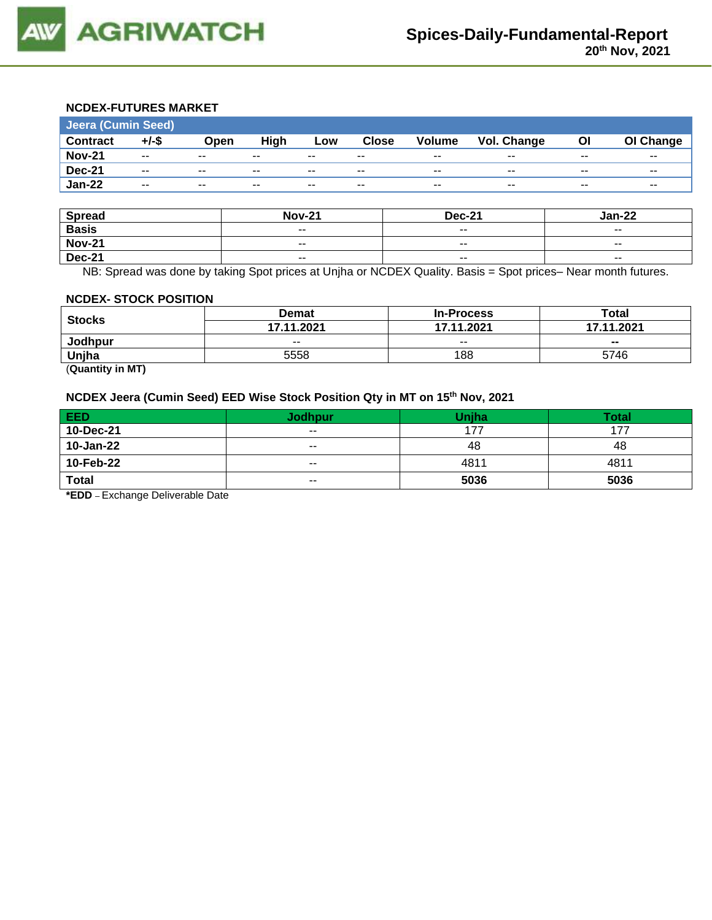

## **NCDEX-FUTURES MARKET**

| Jeera (Cumin Seed) |                          |               |       |       |              |                          |             |       |           |
|--------------------|--------------------------|---------------|-------|-------|--------------|--------------------------|-------------|-------|-----------|
| <b>Contract</b>    | $+/-$ \$                 | Open          | High  | Low   | <b>Close</b> | <b>Volume</b>            | Vol. Change | ΟI    | OI Change |
| <b>Nov-21</b>      | $\sim$ $\sim$            | $- -$         | $- -$ | $- -$ | $- -$        | $- -$                    | $- -$       | $- -$ | $- -$     |
| <b>Dec-21</b>      | $- -$                    | $\sim$ $\sim$ | $- -$ | $- -$ | $- -$        | $\overline{\phantom{a}}$ | $- -$       | $- -$ | $- -$     |
| <b>Jan-22</b>      | $\overline{\phantom{a}}$ | $\sim$ $\sim$ | $- -$ | $- -$ | $- -$        | $\overline{\phantom{a}}$ | $- -$       | $- -$ | $- -$     |

| <b>Spread</b> | <b>Nov-21</b> | <b>Dec-21</b>            | Jan-22                   |
|---------------|---------------|--------------------------|--------------------------|
| <b>Basis</b>  | $- -$         | $- -$                    | $- -$                    |
| <b>Nov-21</b> | $- -$         | $\sim$ $\sim$            | $- -$                    |
| <b>Dec-21</b> | $- -$         | $\overline{\phantom{a}}$ | $\overline{\phantom{a}}$ |

NB: Spread was done by taking Spot prices at Unjha or NCDEX Quality. Basis = Spot prices– Near month futures.

#### **NCDEX- STOCK POSITION**

|               | <b>Demat</b> | <b>In-Process</b> | Total          |  |
|---------------|--------------|-------------------|----------------|--|
| <b>Stocks</b> | 17.11.2021   | 17.11.2021        | 17.11.2021     |  |
| Jodhpur       | $- -$        | $- -$             | $\blacksquare$ |  |
| Unjha         | 5558         | 188               | 5746           |  |

(**Quantity in MT)**

## **NCDEX Jeera (Cumin Seed) EED Wise Stock Position Qty in MT on 15th Nov, 2021**

| <b>EED</b>   | <b>Jodhpur</b>           | Uniha | <b>Total</b> |
|--------------|--------------------------|-------|--------------|
| 10-Dec-21    | $\sim$ $\sim$            | 177   | 177          |
| 10-Jan-22    | $- -$                    | 48    | 48           |
| 10-Feb-22    | $\overline{\phantom{a}}$ | 4811  | 4811         |
| <b>Total</b> | $\overline{\phantom{a}}$ | 5036  | 5036         |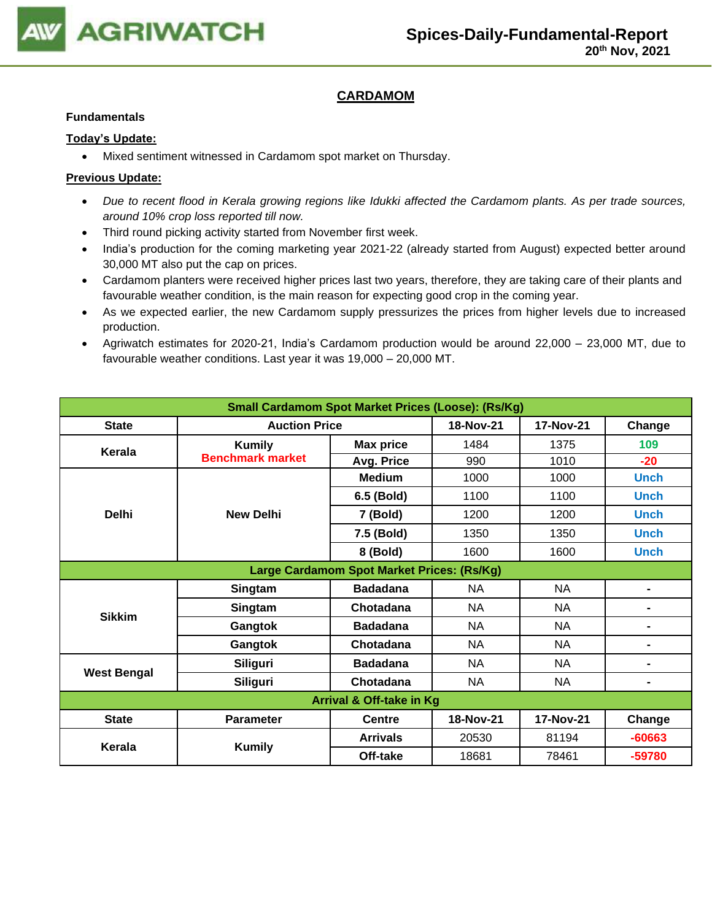

## **CARDAMOM**

#### **Fundamentals**

## **Today's Update:**

• Mixed sentiment witnessed in Cardamom spot market on Thursday.

- *Due to recent flood in Kerala growing regions like Idukki affected the Cardamom plants. As per trade sources, around 10% crop loss reported till now.*
- Third round picking activity started from November first week.
- India's production for the coming marketing year 2021-22 (already started from August) expected better around 30,000 MT also put the cap on prices.
- Cardamom planters were received higher prices last two years, therefore, they are taking care of their plants and favourable weather condition, is the main reason for expecting good crop in the coming year.
- As we expected earlier, the new Cardamom supply pressurizes the prices from higher levels due to increased production.
- Agriwatch estimates for 2020-21, India's Cardamom production would be around 22,000 23,000 MT, due to favourable weather conditions. Last year it was 19,000 – 20,000 MT.

| <b>Small Cardamom Spot Market Prices (Loose): (Rs/Kg)</b> |                                            |                  |           |           |                |  |  |  |
|-----------------------------------------------------------|--------------------------------------------|------------------|-----------|-----------|----------------|--|--|--|
| <b>State</b>                                              | <b>Auction Price</b>                       |                  | 18-Nov-21 | 17-Nov-21 | Change         |  |  |  |
| Kerala                                                    | <b>Kumily</b>                              | <b>Max price</b> | 1484      | 1375      | 109            |  |  |  |
|                                                           | <b>Benchmark market</b>                    | Avg. Price       | 990       | 1010      | $-20$          |  |  |  |
|                                                           |                                            | <b>Medium</b>    | 1000      | 1000      | <b>Unch</b>    |  |  |  |
|                                                           |                                            | 6.5 (Bold)       | 1100      | 1100      | <b>Unch</b>    |  |  |  |
| <b>Delhi</b>                                              | <b>New Delhi</b>                           | 7 (Bold)         | 1200      | 1200      | <b>Unch</b>    |  |  |  |
|                                                           |                                            | 7.5 (Bold)       | 1350      | 1350      | <b>Unch</b>    |  |  |  |
|                                                           |                                            | 8 (Bold)         | 1600      | 1600      | <b>Unch</b>    |  |  |  |
|                                                           | Large Cardamom Spot Market Prices: (Rs/Kg) |                  |           |           |                |  |  |  |
|                                                           | Singtam                                    | <b>Badadana</b>  | <b>NA</b> | <b>NA</b> | $\blacksquare$ |  |  |  |
| <b>Sikkim</b>                                             | Singtam                                    | Chotadana        | <b>NA</b> | <b>NA</b> | $\blacksquare$ |  |  |  |
|                                                           | Gangtok                                    | <b>Badadana</b>  | <b>NA</b> | <b>NA</b> | $\blacksquare$ |  |  |  |
|                                                           | Gangtok                                    | Chotadana        | NA        | NA        | $\blacksquare$ |  |  |  |
|                                                           | <b>Siliguri</b>                            | <b>Badadana</b>  | <b>NA</b> | <b>NA</b> | $\blacksquare$ |  |  |  |
| <b>West Bengal</b>                                        | <b>Siliguri</b>                            | Chotadana        | <b>NA</b> | <b>NA</b> | $\blacksquare$ |  |  |  |
| <b>Arrival &amp; Off-take in Kg</b>                       |                                            |                  |           |           |                |  |  |  |
| <b>State</b>                                              | <b>Parameter</b>                           | <b>Centre</b>    | 18-Nov-21 | 17-Nov-21 | Change         |  |  |  |
| Kerala                                                    |                                            | <b>Arrivals</b>  | 20530     | 81194     | $-60663$       |  |  |  |
|                                                           | <b>Kumily</b>                              | Off-take         | 18681     | 78461     | -59780         |  |  |  |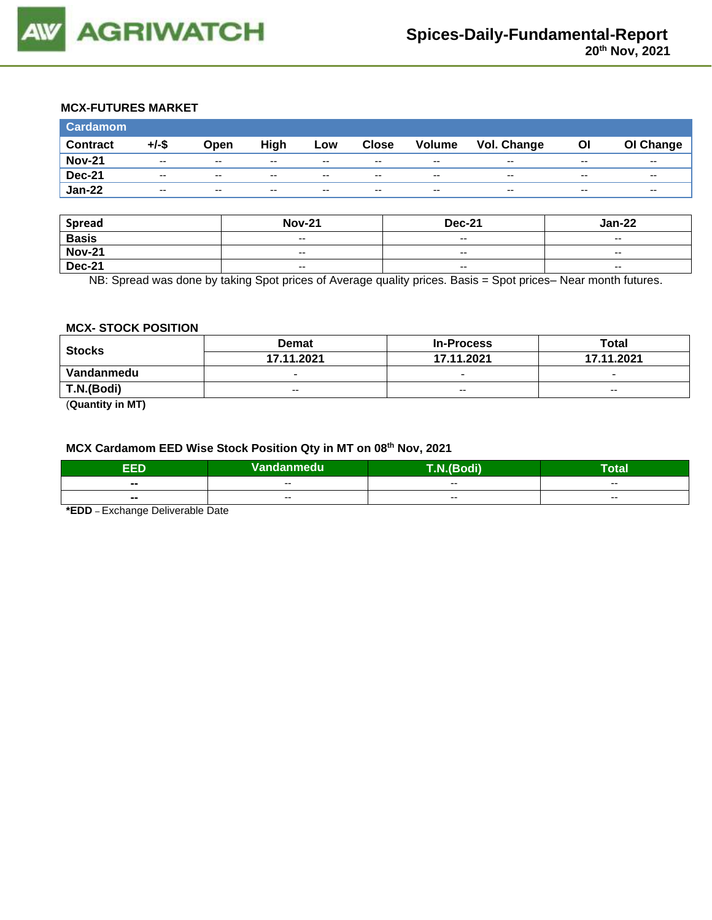

## **MCX-FUTURES MARKET**

| <b>Cardamom</b> |                          |                          |       |       |              |                          |             |       |                          |
|-----------------|--------------------------|--------------------------|-------|-------|--------------|--------------------------|-------------|-------|--------------------------|
| <b>Contract</b> | $+/-$ \$                 | Open                     | High  | Low   | <b>Close</b> | <b>Volume</b>            | Vol. Change | Οl    | OI Change                |
| <b>Nov-21</b>   | $-$                      | $-$                      | $- -$ | $- -$ | $- -$        | $- -$                    | $- -$       | $- -$ | $- -$                    |
| <b>Dec-21</b>   | $\overline{\phantom{a}}$ | $\overline{\phantom{a}}$ | $- -$ | $-$   | $- -$        | $\overline{\phantom{a}}$ | $- -$       | $- -$ | $\overline{\phantom{a}}$ |
| <b>Jan-22</b>   | $-$                      | $\sim$ $\sim$            | $-$   | $-$   | $- -$        | $\overline{\phantom{m}}$ | $- -$       | $- -$ | $\sim$ $\sim$            |

| <b>Spread</b> | <b>Nov-21</b>            | <b>Dec-21</b>            | $Jan-22$                 |
|---------------|--------------------------|--------------------------|--------------------------|
| <b>Basis</b>  | $\overline{\phantom{a}}$ | $-$                      | $-$                      |
| <b>Nov-21</b> | $\overline{\phantom{a}}$ | $- -$                    | $\overline{\phantom{a}}$ |
| <b>Dec-21</b> | $\overline{\phantom{a}}$ | $\overline{\phantom{a}}$ | $\overline{\phantom{a}}$ |

NB: Spread was done by taking Spot prices of Average quality prices. Basis = Spot prices– Near month futures.

#### **MCX- STOCK POSITION**

| <b>Stocks</b> | <b>Demat</b>             | <b>In-Process</b>        | Total                    |  |
|---------------|--------------------------|--------------------------|--------------------------|--|
|               | 17.11.2021               | 17.11.2021               | 17.11.2021               |  |
| Vandanmedu    | $\overline{\phantom{0}}$ | $\overline{\phantom{0}}$ | $\overline{\phantom{0}}$ |  |
| T.N.(Bodi)    | $- -$                    | $-$                      | $- -$                    |  |
|               |                          |                          |                          |  |

(**Quantity in MT)**

## **MCX Cardamom EED Wise Stock Position Qty in MT on 08th Nov, 2021**

| ccn            | Vandanmedu | <b><i>PERS</i></b> | -<br>Гоtal    |
|----------------|------------|--------------------|---------------|
| $\blacksquare$ | --         | --                 | $- -$         |
| $\blacksquare$ | $- -$      | $- -$              | $\sim$ $\sim$ |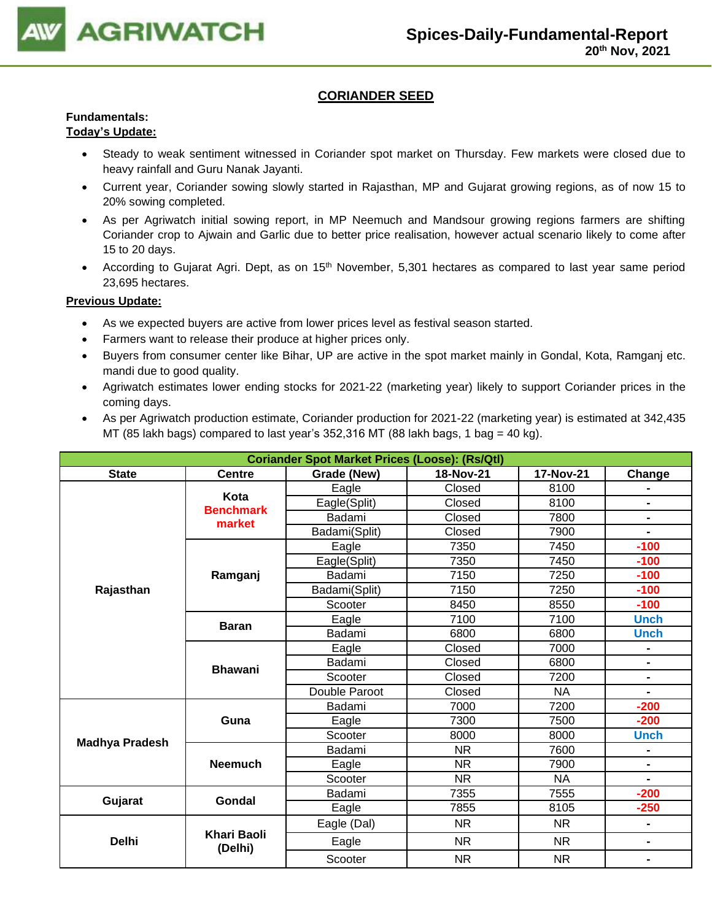

## **CORIANDER SEED**

## **Fundamentals:**

## **Today's Update:**

- Steady to weak sentiment witnessed in Coriander spot market on Thursday. Few markets were closed due to heavy rainfall and Guru Nanak Jayanti.
- Current year, Coriander sowing slowly started in Rajasthan, MP and Gujarat growing regions, as of now 15 to 20% sowing completed.
- As per Agriwatch initial sowing report, in MP Neemuch and Mandsour growing regions farmers are shifting Coriander crop to Ajwain and Garlic due to better price realisation, however actual scenario likely to come after 15 to 20 days.
- According to Gujarat Agri. Dept, as on 15<sup>th</sup> November, 5,301 hectares as compared to last year same period 23,695 hectares.

- As we expected buyers are active from lower prices level as festival season started.
- Farmers want to release their produce at higher prices only.
- Buyers from consumer center like Bihar, UP are active in the spot market mainly in Gondal, Kota, Ramganj etc. mandi due to good quality.
- Agriwatch estimates lower ending stocks for 2021-22 (marketing year) likely to support Coriander prices in the coming days.
- As per Agriwatch production estimate, Coriander production for 2021-22 (marketing year) is estimated at 342,435 MT (85 lakh bags) compared to last year's 352,316 MT (88 lakh bags, 1 bag = 40 kg).

| <b>Coriander Spot Market Prices (Loose): (Rs/Qtl)</b> |                               |                                                 |           |           |                              |  |  |
|-------------------------------------------------------|-------------------------------|-------------------------------------------------|-----------|-----------|------------------------------|--|--|
| <b>State</b>                                          | <b>Centre</b>                 | 17-Nov-21<br>Grade (New)<br>18-Nov-21<br>Change |           |           |                              |  |  |
|                                                       |                               | Eagle                                           | Closed    | 8100      |                              |  |  |
|                                                       | Kota<br><b>Benchmark</b>      | Eagle(Split)                                    | Closed    | 8100      | -                            |  |  |
|                                                       | market                        | Badami                                          | Closed    | 7800      | $\blacksquare$               |  |  |
|                                                       |                               | Badami(Split)                                   | Closed    | 7900      | $\qquad \qquad \blacksquare$ |  |  |
|                                                       |                               | Eagle                                           | 7350      | 7450      | $-100$                       |  |  |
|                                                       |                               | Eagle(Split)                                    | 7350      | 7450      | $-100$                       |  |  |
|                                                       | Ramganj                       | Badami                                          | 7150      | 7250      | $-100$                       |  |  |
| Rajasthan                                             |                               | Badami(Split)                                   | 7150      | 7250      | $-100$                       |  |  |
|                                                       |                               | Scooter                                         | 8450      | 8550      | $-100$                       |  |  |
|                                                       | <b>Baran</b>                  | Eagle                                           | 7100      | 7100      | <b>Unch</b>                  |  |  |
|                                                       |                               | Badami                                          | 6800      | 6800      | <b>Unch</b>                  |  |  |
|                                                       | <b>Bhawani</b>                | Eagle                                           | Closed    | 7000      |                              |  |  |
|                                                       |                               | Badami                                          | Closed    | 6800      |                              |  |  |
|                                                       |                               | Scooter                                         | Closed    | 7200      | $\blacksquare$               |  |  |
|                                                       |                               | Double Paroot                                   | Closed    | <b>NA</b> | Ξ.                           |  |  |
|                                                       |                               | Badami                                          | 7000      | 7200      | $-200$                       |  |  |
|                                                       | Guna                          | Eagle                                           | 7300      | 7500      | $-200$                       |  |  |
| <b>Madhya Pradesh</b>                                 |                               | Scooter                                         | 8000      | 8000      | <b>Unch</b>                  |  |  |
|                                                       |                               | Badami                                          | <b>NR</b> | 7600      |                              |  |  |
|                                                       | <b>Neemuch</b>                | Eagle                                           | <b>NR</b> | 7900      | Ξ.                           |  |  |
|                                                       |                               | Scooter                                         | <b>NR</b> | <b>NA</b> | Ξ.                           |  |  |
| Gujarat                                               | Gondal                        | Badami                                          | 7355      | 7555      | $-200$                       |  |  |
|                                                       |                               | Eagle                                           | 7855      | 8105      | $-250$                       |  |  |
|                                                       |                               | Eagle (Dal)                                     | <b>NR</b> | <b>NR</b> | $\blacksquare$               |  |  |
| <b>Delhi</b>                                          | <b>Khari Baoli</b><br>(Delhi) | Eagle                                           | <b>NR</b> | <b>NR</b> | $\blacksquare$               |  |  |
|                                                       |                               | Scooter                                         | <b>NR</b> | <b>NR</b> | Ξ.                           |  |  |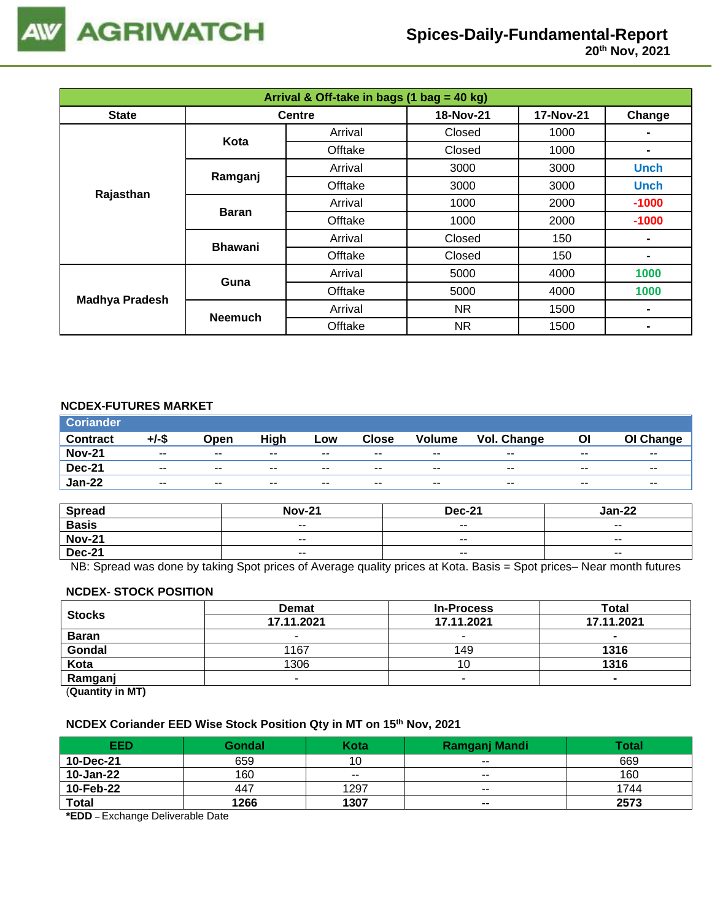

# **Spices-Daily-Fundamental-Report**

| Arrival & Off-take in bags (1 bag = 40 kg) |                |               |           |           |                |  |  |
|--------------------------------------------|----------------|---------------|-----------|-----------|----------------|--|--|
| <b>State</b>                               |                | <b>Centre</b> | 18-Nov-21 | 17-Nov-21 | Change         |  |  |
|                                            | Kota           | Arrival       | Closed    | 1000      |                |  |  |
|                                            |                | Offtake       | Closed    | 1000      | $\blacksquare$ |  |  |
|                                            | Ramganj        | Arrival       | 3000      | 3000      | <b>Unch</b>    |  |  |
|                                            |                | Offtake       | 3000      | 3000      | <b>Unch</b>    |  |  |
| Rajasthan                                  | <b>Baran</b>   | Arrival       | 1000      | 2000      | $-1000$        |  |  |
|                                            |                | Offtake       | 1000      | 2000      | $-1000$        |  |  |
|                                            |                | Arrival       | Closed    | 150       |                |  |  |
|                                            | <b>Bhawani</b> | Offtake       | Closed    | 150       | $\blacksquare$ |  |  |
| <b>Madhya Pradesh</b>                      | Guna           | Arrival       | 5000      | 4000      | 1000           |  |  |
|                                            |                | Offtake       | 5000      | 4000      | 1000           |  |  |
|                                            |                | Arrival       | NR.       | 1500      | $\blacksquare$ |  |  |
|                                            | <b>Neemuch</b> | Offtake       | NR.       | 1500      | ٠              |  |  |

## **NCDEX-FUTURES MARKET**

| <b>Coriander</b> |          |                          |       |       |              |               |             |       |                          |
|------------------|----------|--------------------------|-------|-------|--------------|---------------|-------------|-------|--------------------------|
| <b>Contract</b>  | $+/-$ \$ | Open                     | High  | Low   | <b>Close</b> | <b>Volume</b> | Vol. Change | ΟI    | OI Change                |
| <b>Nov-21</b>    | $- -$    | $- -$                    | $- -$ | $- -$ | $- -$        | $- -$         | $- -$       | $- -$ | $- -$                    |
| <b>Dec-21</b>    | $- -$    | $\overline{\phantom{a}}$ | $- -$ | $- -$ | $- -$        | $- -$         | $- -$       | $- -$ | $\overline{\phantom{a}}$ |
| <b>Jan-22</b>    | $- -$    | $\overline{\phantom{a}}$ | $- -$ | $- -$ | $- -$        | $- -$         | $- -$       | $- -$ | $- -$                    |

| <b>Spread</b> | <b>Nov-21</b> | <b>Dec-21</b>            | Jan-22                   |
|---------------|---------------|--------------------------|--------------------------|
| <b>Basis</b>  | $- -$         | $\overline{\phantom{a}}$ | $\overline{\phantom{a}}$ |
| <b>Nov-21</b> | $- -$         | $\overline{\phantom{a}}$ | $- -$                    |
| <b>Dec-21</b> | $- -$         | $\overline{\phantom{a}}$ | $\overline{\phantom{a}}$ |

NB: Spread was done by taking Spot prices of Average quality prices at Kota. Basis = Spot prices– Near month futures

#### **NCDEX- STOCK POSITION**

| <b>Stocks</b>                | <b>Demat</b> | <b>In-Process</b>        | Total      |
|------------------------------|--------------|--------------------------|------------|
|                              | 17.11.2021   | 17.11.2021               | 17.11.2021 |
| <b>Baran</b>                 | -            | $\overline{\phantom{a}}$ | $\sim$     |
| Gondal                       | 1167         | 149                      | 1316       |
| Kota                         | 1306         | ΊU                       | 1316       |
| Ramganj                      | -            |                          |            |
| (0.122, 0.012, 0.012, 0.002) |              |                          |            |

(**Quantity in MT)**

### **NCDEX Coriander EED Wise Stock Position Qty in MT on 15th Nov, 2021**

| EED          | Gondal | Kota                     | Ramganj Mandi | Total |
|--------------|--------|--------------------------|---------------|-------|
| 10-Dec-21    | 659    | 10                       | $- -$         | 669   |
| 10-Jan-22    | 160    | $\overline{\phantom{m}}$ | $- -$         | 160   |
| 10-Feb-22    | 447    | 1297                     | $- -$         | 1744  |
| <b>Total</b> | 1266   | 1307                     | $- -$         | 2573  |